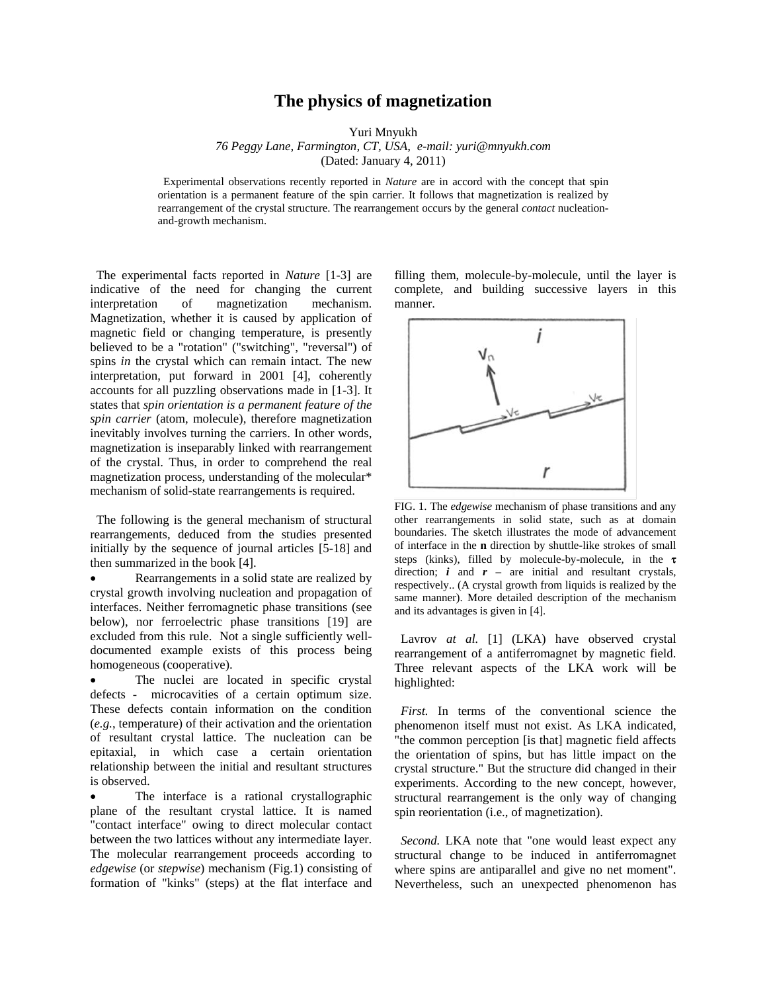## **The physics of magnetization**

Yuri Mnyukh

*76 Peggy Lane, Farmington, CT, USA, e-mail: yuri@mnyukh.com* (Dated: January 4, 2011)

 Experimental observations recently reported in *Nature* are in accord with the concept that spin orientation is a permanent feature of the spin carrier. It follows that magnetization is realized by rearrangement of the crystal structure. The rearrangement occurs by the general *contact* nucleationand-growth mechanism.

 The experimental facts reported in *Nature* [1-3] are indicative of the need for changing the current interpretation of magnetization mechanism. Magnetization, whether it is caused by application of magnetic field or changing temperature, is presently believed to be a "rotation" ("switching", "reversal") of spins *in* the crystal which can remain intact. The new interpretation, put forward in 2001 [4], coherently accounts for all puzzling observations made in [1-3]. It states that *spin orientation is a permanent feature of the spin carrier* (atom, molecule), therefore magnetization inevitably involves turning the carriers. In other words, magnetization is inseparably linked with rearrangement of the crystal. Thus, in order to comprehend the real magnetization process, understanding of the molecular\* mechanism of solid-state rearrangements is required.

 The following is the general mechanism of structural rearrangements, deduced from the studies presented initially by the sequence of journal articles [5-18] and then summarized in the book [4].

 Rearrangements in a solid state are realized by crystal growth involving nucleation and propagation of interfaces. Neither ferromagnetic phase transitions (see below), nor ferroelectric phase transitions [19] are excluded from this rule. Not a single sufficiently welldocumented example exists of this process being homogeneous (cooperative).

 The nuclei are located in specific crystal defects - microcavities of a certain optimum size. These defects contain information on the condition (*e.g.*, temperature) of their activation and the orientation of resultant crystal lattice. The nucleation can be epitaxial, in which case a certain orientation relationship between the initial and resultant structures is observed.

 The interface is a rational crystallographic plane of the resultant crystal lattice. It is named "contact interface" owing to direct molecular contact between the two lattices without any intermediate layer. The molecular rearrangement proceeds according to *edgewise* (or *stepwise*) mechanism (Fig.1) consisting of formation of "kinks" (steps) at the flat interface and

filling them, molecule-by-molecule, until the layer is complete, and building successive layers in this manner.



FIG. 1. The *edgewise* mechanism of phase transitions and any other rearrangements in solid state, such as at domain boundaries. The sketch illustrates the mode of advancement of interface in the **n** direction by shuttle-like strokes of small steps (kinks), filled by molecule-by-molecule, in the  $\tau$ direction;  $i$  and  $r$  – are initial and resultant crystals, respectively.. (A crystal growth from liquids is realized by the same manner). More detailed description of the mechanism and its advantages is given in [4].

Lavrov *at al.* [1] (LKA) have observed crystal rearrangement of a antiferromagnet by magnetic field. Three relevant aspects of the LKA work will be highlighted:

 *First.* In terms of the conventional science the phenomenon itself must not exist. As LKA indicated, "the common perception [is that] magnetic field affects the orientation of spins, but has little impact on the crystal structure." But the structure did changed in their experiments. According to the new concept, however, structural rearrangement is the only way of changing spin reorientation (i.e., of magnetization).

 *Second.* LKA note that "one would least expect any structural change to be induced in antiferromagnet where spins are antiparallel and give no net moment". Nevertheless, such an unexpected phenomenon has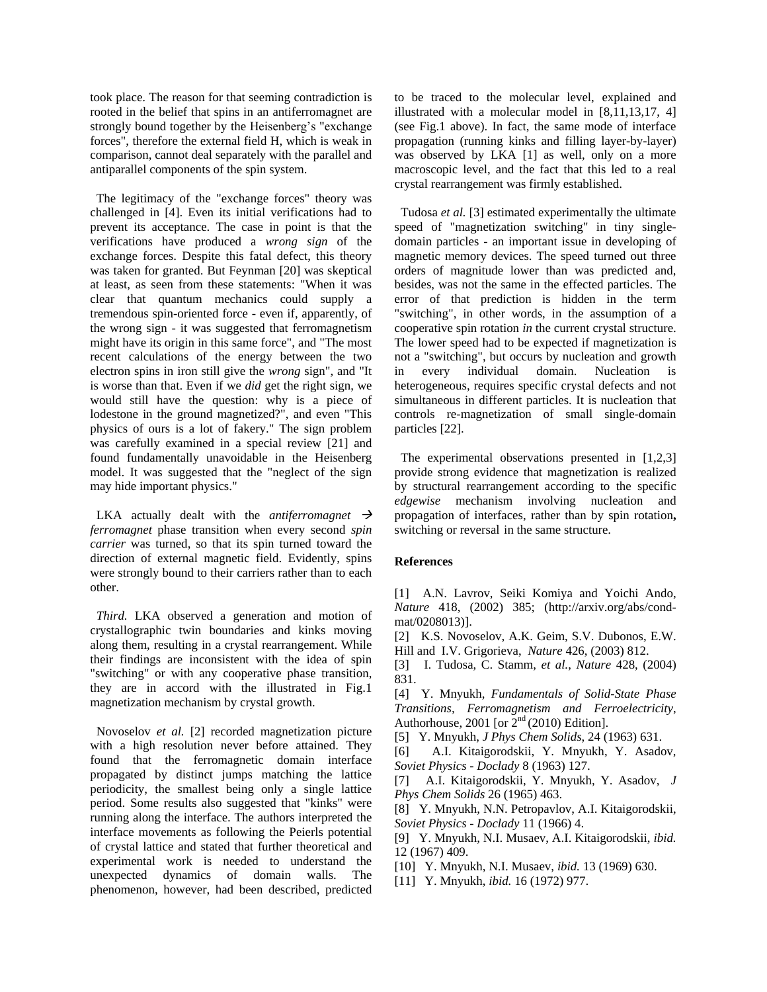took place. The reason for that seeming contradiction is rooted in the belief that spins in an antiferromagnet are strongly bound together by the Heisenberg's "exchange forces", therefore the external field H, which is weak in comparison, cannot deal separately with the parallel and antiparallel components of the spin system.

 The legitimacy of the "exchange forces" theory was challenged in [4]. Even its initial verifications had to prevent its acceptance. The case in point is that the verifications have produced a *wrong sign* of the exchange forces. Despite this fatal defect, this theory was taken for granted. But Feynman [20] was skeptical at least, as seen from these statements: "When it was clear that quantum mechanics could supply a tremendous spin-oriented force - even if, apparently, of the wrong sign - it was suggested that ferromagnetism might have its origin in this same force", and "The most recent calculations of the energy between the two electron spins in iron still give the *wrong* sign", and "It is worse than that. Even if we *did* get the right sign, we would still have the question: why is a piece of lodestone in the ground magnetized?", and even "This physics of ours is a lot of fakery." The sign problem was carefully examined in a special review [21] and found fundamentally unavoidable in the Heisenberg model. It was suggested that the "neglect of the sign may hide important physics."

LKA actually dealt with the *antiferromagnet*  $\rightarrow$ *ferromagnet* phase transition when every second *spin carrier* was turned, so that its spin turned toward the direction of external magnetic field. Evidently, spins were strongly bound to their carriers rather than to each other.

 *Third.* LKA observed a generation and motion of crystallographic twin boundaries and kinks moving along them, resulting in a crystal rearrangement. While their findings are inconsistent with the idea of spin "switching" or with any cooperative phase transition, they are in accord with the illustrated in Fig.1 magnetization mechanism by crystal growth.

 Novoselov *et al.* [2] recorded magnetization picture with a high resolution never before attained. They found that the ferromagnetic domain interface propagated by distinct jumps matching the lattice periodicity, the smallest being only a single lattice period. Some results also suggested that "kinks" were running along the interface. The authors interpreted the interface movements as following the Peierls potential of crystal lattice and stated that further theoretical and experimental work is needed to understand the unexpected dynamics of domain walls. The phenomenon, however, had been described, predicted to be traced to the molecular level, explained and illustrated with a molecular model in [8,11,13,17, 4] (see Fig.1 above). In fact, the same mode of interface propagation (running kinks and filling layer-by-layer) was observed by LKA [1] as well, only on a more macroscopic level, and the fact that this led to a real crystal rearrangement was firmly established.

 Tudosa *et al.* [3] estimated experimentally the ultimate speed of "magnetization switching" in tiny singledomain particles - an important issue in developing of magnetic memory devices. The speed turned out three orders of magnitude lower than was predicted and, besides, was not the same in the effected particles. The error of that prediction is hidden in the term "switching", in other words, in the assumption of a cooperative spin rotation *in* the current crystal structure. The lower speed had to be expected if magnetization is not a "switching", but occurs by nucleation and growth in every individual domain. Nucleation is heterogeneous, requires specific crystal defects and not simultaneous in different particles. It is nucleation that controls re-magnetization of small single-domain particles [22].

The experimental observations presented in [1,2,3] provide strong evidence that magnetization is realized by structural rearrangement according to the specific *edgewise* mechanism involving nucleation and propagation of interfaces, rather than by spin rotation**,**  switching or reversal in the same structure.

## **References**

[1] A.N. Lavrov, Seiki Komiya and Yoichi Ando, *Nature* 418, (2002) 385; (http://arxiv.org/abs/condmat/0208013)].

[2] K.S. Novoselov, A.K. Geim, S.V. Dubonos, E.W. Hill and I.V. Grigorieva, *Nature* 426, (2003) 812.

[3] I. Tudosa, C. Stamm, *et al.*, *Nature* 428, (2004) 831.

[4] Y. Mnyukh, *Fundamentals of Solid-State Phase Transitions, Ferromagnetism and Ferroelectricity*, Authorhouse, 2001 [or  $2<sup>nd</sup>$  (2010) Edition].

[5] Y. Mnyukh, *J Phys Chem Solids*, 24 (1963) 631.

[6] A.I. Kitaigorodskii, Y. Mnyukh, Y. Asadov, *Soviet Physics - Doclady* 8 (1963) 127.

[7] A.I. Kitaigorodskii, Y. Mnyukh, Y. Asadov, *J Phys Chem Solids* 26 (1965) 463.

[8] Y. Mnyukh, N.N. Petropavlov, A.I. Kitaigorodskii, *Soviet Physics - Doclady* 11 (1966) 4.

[9] Y. Mnyukh, N.I. Musaev, A.I. Kitaigorodskii, *ibid.* 12 (1967) 409.

[10] Y. Mnyukh, N.I. Musaev, *ibid.* 13 (1969) 630.

[11] Y. Mnyukh, *ibid.* 16 (1972) 977.